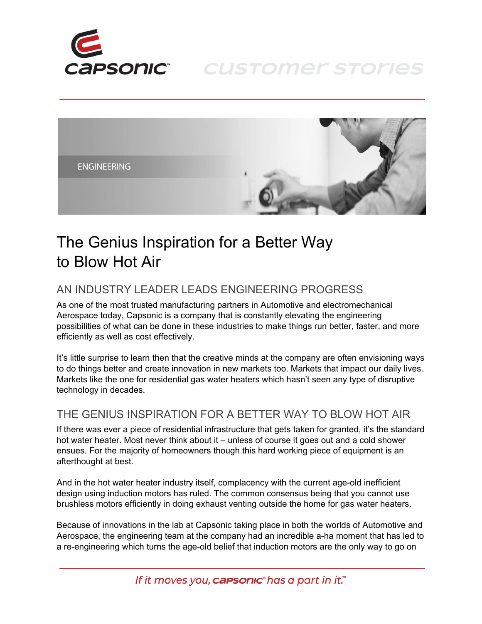

**CUSTOMER STORIES** 



## The Genius Inspiration for a Better Way to Blow Hot Air

## AN INDUSTRY LEADER LEADS ENGINEERING PROGRESS

As one of the most trusted manufacturing partners in Automotive and electromechanical Aerospace today, Capsonic is a company that is constantly elevating the engineering possibilities of what can be done in these industries to make things run better, faster, and more efficiently as well as cost effectively.

It's little surprise to learn then that the creative minds at the company are often envisioning ways to do things better and create innovation in new markets too. Markets that impact our daily lives. Markets like the one for residential gas water heaters which hasn't seen any type of disruptive technology in decades.

## THE GENIUS INSPIRATION FOR A BETTER WAY TO BLOW HOT AIR

If there was ever a piece of residential infrastructure that gets taken for granted, it's the standard hot water heater. Most never think about it – unless of course it goes out and a cold shower ensues. For the majority of homeowners though this hard working piece of equipment is an afterthought at best.

And in the hot water heater industry itself, complacency with the current age-old inefficient design using induction motors has ruled. The common consensus being that you cannot use brushless motors efficiently in doing exhaust venting outside the home for gas water heaters.

Because of innovations in the lab at Capsonic taking place in both the worlds of Automotive and Aerospace, the engineering team at the company had an incredible a-ha moment that has led to a re-engineering which turns the age-old belief that induction motors are the only way to go on